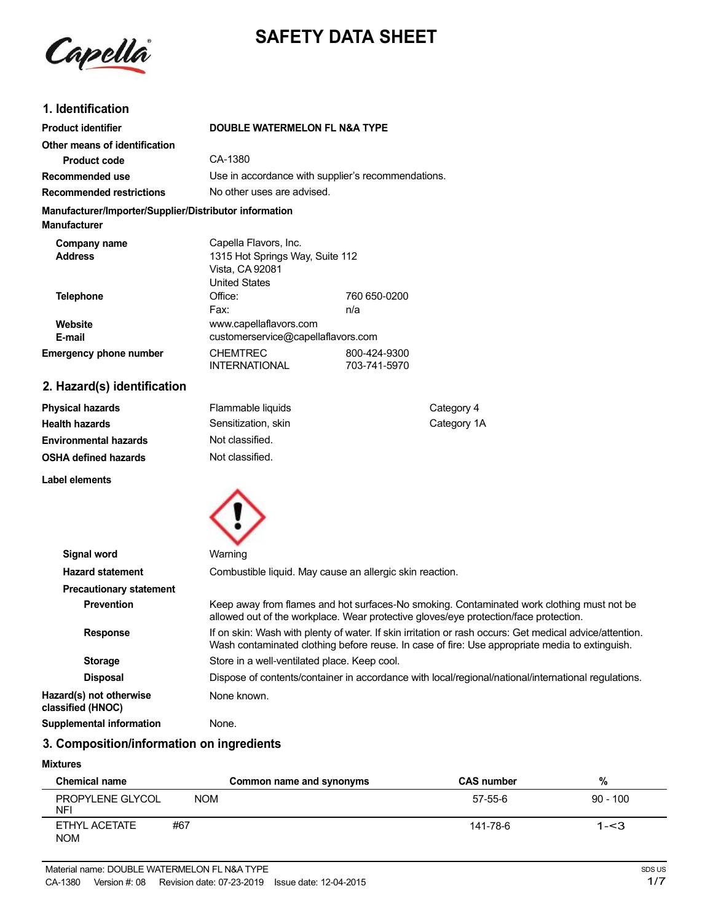

# **SAFETY DATA SHEET**

# **1. Identification**

| <b>Product identifier</b>                                                     | <b>DOUBLE WATERMELON FL N&amp;A TYPE</b> |                                                    |
|-------------------------------------------------------------------------------|------------------------------------------|----------------------------------------------------|
| Other means of identification                                                 |                                          |                                                    |
| <b>Product code</b>                                                           | CA-1380                                  |                                                    |
| Recommended use                                                               |                                          | Use in accordance with supplier's recommendations. |
| <b>Recommended restrictions</b>                                               | No other uses are advised.               |                                                    |
| Manufacturer/Importer/Supplier/Distributor information<br><b>Manufacturer</b> |                                          |                                                    |
| Company name                                                                  | Capella Flavors, Inc.                    |                                                    |
| <b>Address</b>                                                                | 1315 Hot Springs Way, Suite 112          |                                                    |
|                                                                               | Vista, CA 92081                          |                                                    |
|                                                                               | United States                            |                                                    |
| <b>Telephone</b>                                                              | Office:                                  | 760 650-0200                                       |
|                                                                               | Fax:                                     | n/a                                                |
| Website                                                                       | www.capellaflavors.com                   |                                                    |
| E-mail                                                                        | customerservice@capellaflavors.com       |                                                    |
| <b>Emergency phone number</b>                                                 | <b>CHEMTREC</b>                          | 800-424-9300                                       |
|                                                                               | <b>INTERNATIONAL</b>                     | 703-741-5970                                       |
|                                                                               |                                          |                                                    |

# **2. Hazard(s) identification**

**Label elements**

| <b>Physical hazards</b> | Flammable liquids   | Category 4  |
|-------------------------|---------------------|-------------|
| Health hazards          | Sensitization, skin | Category 1A |
| Environmental hazards   | Not classified.     |             |
| OSHA defined hazards    | Not classified.     |             |
|                         |                     |             |



| <b>Signal word</b>                           | Warning                                                                                                                                                                                                   |
|----------------------------------------------|-----------------------------------------------------------------------------------------------------------------------------------------------------------------------------------------------------------|
| <b>Hazard statement</b>                      | Combustible liquid. May cause an allergic skin reaction.                                                                                                                                                  |
| <b>Precautionary statement</b>               |                                                                                                                                                                                                           |
| <b>Prevention</b>                            | Keep away from flames and hot surfaces-No smoking. Contaminated work clothing must not be<br>allowed out of the workplace. Wear protective gloves/eye protection/face protection.                         |
| <b>Response</b>                              | If on skin: Wash with plenty of water. If skin irritation or rash occurs: Get medical advice/attention.<br>Wash contaminated clothing before reuse. In case of fire: Use appropriate media to extinguish. |
| <b>Storage</b>                               | Store in a well-ventilated place. Keep cool.                                                                                                                                                              |
| <b>Disposal</b>                              | Dispose of contents/container in accordance with local/regional/national/international regulations.                                                                                                       |
| Hazard(s) not otherwise<br>classified (HNOC) | None known.                                                                                                                                                                                               |
| Supplemental information                     | None.                                                                                                                                                                                                     |

# **3. Composition/information on ingredients**

#### **Mixtures**

| <b>Chemical name</b>           |            | Common name and synonyms | <b>CAS number</b> | %          |
|--------------------------------|------------|--------------------------|-------------------|------------|
| PROPYLENE GLYCOL<br><b>NFI</b> | <b>NOM</b> |                          | 57-55-6           | $90 - 100$ |
| ETHYL ACETATE<br><b>NOM</b>    | #67        |                          | 141-78-6          | $1 - 3$    |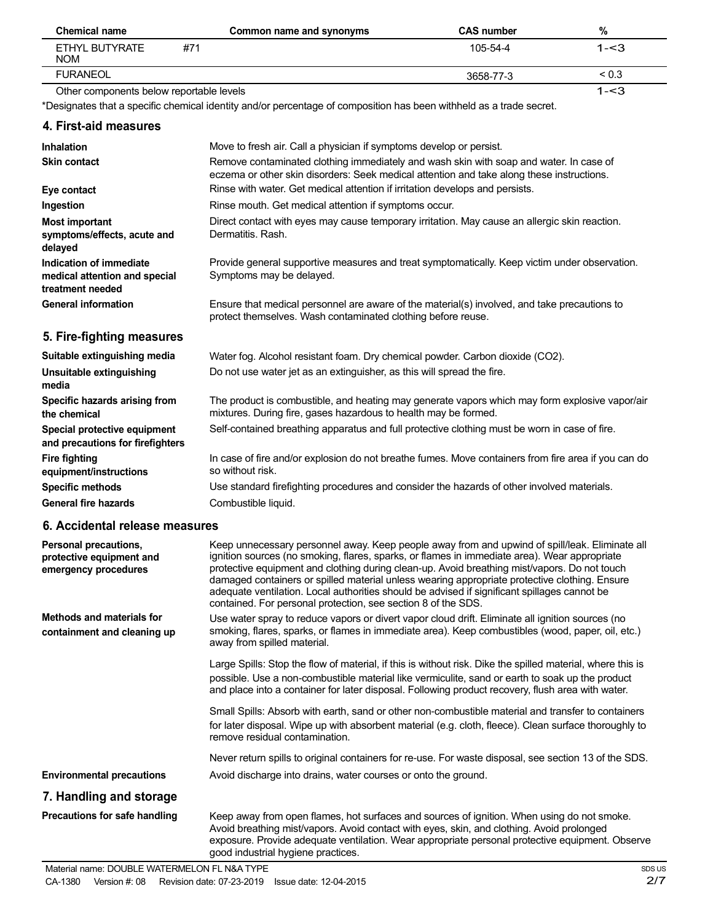| Chemical name                            | Common name and synonyms | <b>CAS number</b> | %          |
|------------------------------------------|--------------------------|-------------------|------------|
| ETHYL BUTYRATE<br><b>NOM</b>             | #71                      | $105 - 54 - 4$    | 1- $<$ 3   |
| <b>FURANEOL</b>                          |                          | 3658-77-3         | ${}_{0.3}$ |
| Other components below reportable levels |                          |                   | 1-<3       |

Other components below reportable levels

\*Designates that a specific chemical identity and/or percentage of composition has been withheld as a trade secret.

#### **4. First-aid measures**

| <b>Inhalation</b>                                                            | Move to fresh air. Call a physician if symptoms develop or persist.                                                                                                                 |
|------------------------------------------------------------------------------|-------------------------------------------------------------------------------------------------------------------------------------------------------------------------------------|
| <b>Skin contact</b>                                                          | Remove contaminated clothing immediately and wash skin with soap and water. In case of<br>eczema or other skin disorders: Seek medical attention and take along these instructions. |
| Eye contact                                                                  | Rinse with water. Get medical attention if irritation develops and persists.                                                                                                        |
| Ingestion                                                                    | Rinse mouth. Get medical attention if symptoms occur.                                                                                                                               |
| <b>Most important</b><br>symptoms/effects, acute and<br>delayed              | Direct contact with eyes may cause temporary irritation. May cause an allergic skin reaction.<br>Dermatitis, Rash.                                                                  |
| Indication of immediate<br>medical attention and special<br>treatment needed | Provide general supportive measures and treat symptomatically. Keep victim under observation.<br>Symptoms may be delayed.                                                           |
| <b>General information</b>                                                   | Ensure that medical personnel are aware of the material(s) involved, and take precautions to<br>protect themselves. Wash contaminated clothing before reuse.                        |
| 5. Fire-fighting measures                                                    |                                                                                                                                                                                     |
| Suitable extinguishing media                                                 | Water fog. Alcohol resistant foam. Dry chemical powder. Carbon dioxide (CO2).                                                                                                       |
| Unsuitable extinguishing<br>media                                            | Do not use water jet as an extinguisher, as this will spread the fire.                                                                                                              |
| Specific hazards arising from<br>the chemical                                | The product is combustible, and heating may generate vapors which may form explosive vapor/air<br>mixtures. During fire, gases hazardous to health may be formed.                   |
| Special protective equipment<br>and precautions for firefighters             | Self-contained breathing apparatus and full protective clothing must be worn in case of fire.                                                                                       |
| <b>Fire fighting</b>                                                         | In case of fire and/or explosion do not breathe fumes. Move containers from fire area if you can do                                                                                 |

In case of fire and/or explosion do not breathe fumes. Move containers from fire area if you can do so without risk.

Use standard firefighting procedures and consider the hazards of other involved materials. Combustible liquid.

#### **6. Accidental release measures**

**equipment/instructions Specific methods General fire hazards**

| Personal precautions,<br>protective equipment and<br>emergency procedures | Keep unnecessary personnel away. Keep people away from and upwind of spill/leak. Eliminate all<br>ignition sources (no smoking, flares, sparks, or flames in immediate area). Wear appropriate<br>protective equipment and clothing during clean-up. Avoid breathing mist/vapors. Do not touch<br>damaged containers or spilled material unless wearing appropriate protective clothing. Ensure<br>adequate ventilation. Local authorities should be advised if significant spillages cannot be<br>contained. For personal protection, see section 8 of the SDS. |
|---------------------------------------------------------------------------|------------------------------------------------------------------------------------------------------------------------------------------------------------------------------------------------------------------------------------------------------------------------------------------------------------------------------------------------------------------------------------------------------------------------------------------------------------------------------------------------------------------------------------------------------------------|
| Methods and materials for<br>containment and cleaning up                  | Use water spray to reduce vapors or divert vapor cloud drift. Eliminate all ignition sources (no<br>smoking, flares, sparks, or flames in immediate area). Keep combustibles (wood, paper, oil, etc.)<br>away from spilled material.                                                                                                                                                                                                                                                                                                                             |
|                                                                           | Large Spills: Stop the flow of material, if this is without risk. Dike the spilled material, where this is<br>possible. Use a non-combustible material like vermiculite, sand or earth to soak up the product<br>and place into a container for later disposal. Following product recovery, flush area with water.                                                                                                                                                                                                                                               |
|                                                                           | Small Spills: Absorb with earth, sand or other non-combustible material and transfer to containers<br>for later disposal. Wipe up with absorbent material (e.g. cloth, fleece). Clean surface thoroughly to<br>remove residual contamination.                                                                                                                                                                                                                                                                                                                    |
|                                                                           | Never return spills to original containers for re-use. For waste disposal, see section 13 of the SDS.                                                                                                                                                                                                                                                                                                                                                                                                                                                            |
| <b>Environmental precautions</b>                                          | Avoid discharge into drains, water courses or onto the ground.                                                                                                                                                                                                                                                                                                                                                                                                                                                                                                   |
| 7. Handling and storage                                                   |                                                                                                                                                                                                                                                                                                                                                                                                                                                                                                                                                                  |
| Precautions for safe handling                                             | Keep away from open flames, hot surfaces and sources of ignition. When using do not smoke.<br>Avoid breathing mist/vapors. Avoid contact with eyes, skin, and clothing. Avoid prolonged<br>exposure. Provide adequate ventilation. Wear appropriate personal protective equipment. Observe<br>good industrial hygiene practices.                                                                                                                                                                                                                                 |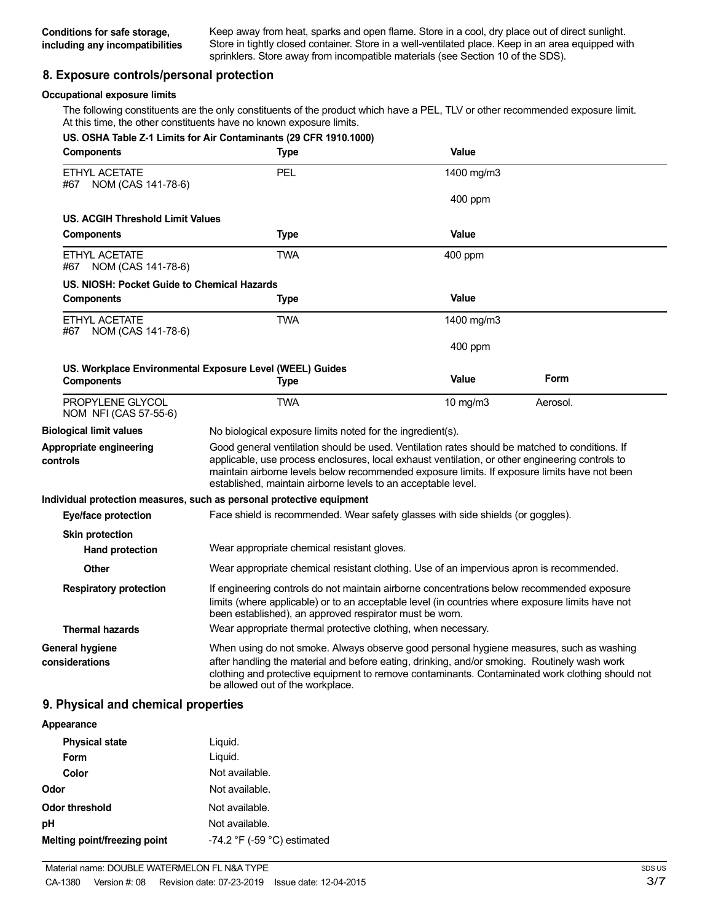Keep away from heat, sparks and open flame. Store in a cool, dry place out of direct sunlight. Store in tightly closed container. Store in a well-ventilated place. Keep in an area equipped with sprinklers. Store away from incompatible materials (see Section 10 of the SDS).

#### **8. Exposure controls/personal protection**

#### **Occupational exposure limits**

The following constituents are the only constituents of the product which have a PEL, TLV or other recommended exposure limit. At this time, the other constituents have no known exposure limits.

| <b>Components</b>                           | US. OSHA Table Z-1 Limits for Air Contaminants (29 CFR 1910.1000)<br>Type                                                                                                                                                                                                                                                                                          | Value             |          |
|---------------------------------------------|--------------------------------------------------------------------------------------------------------------------------------------------------------------------------------------------------------------------------------------------------------------------------------------------------------------------------------------------------------------------|-------------------|----------|
| ETHYL ACETATE<br>#67 NOM (CAS 141-78-6)     | <b>PEL</b>                                                                                                                                                                                                                                                                                                                                                         | 1400 mg/m3        |          |
|                                             |                                                                                                                                                                                                                                                                                                                                                                    | 400 ppm           |          |
| <b>US. ACGIH Threshold Limit Values</b>     |                                                                                                                                                                                                                                                                                                                                                                    |                   |          |
| <b>Components</b>                           | <b>Type</b>                                                                                                                                                                                                                                                                                                                                                        | Value             |          |
| ETHYL ACETATE<br>NOM (CAS 141-78-6)<br>#67  | TWA                                                                                                                                                                                                                                                                                                                                                                | 400 ppm           |          |
| US. NIOSH: Pocket Guide to Chemical Hazards |                                                                                                                                                                                                                                                                                                                                                                    |                   |          |
| <b>Components</b>                           | <b>Type</b>                                                                                                                                                                                                                                                                                                                                                        | <b>Value</b>      |          |
| ETHYL ACETATE<br>#67 NOM (CAS 141-78-6)     | <b>TWA</b>                                                                                                                                                                                                                                                                                                                                                         | 1400 mg/m3        |          |
|                                             |                                                                                                                                                                                                                                                                                                                                                                    | 400 ppm           |          |
| <b>Components</b>                           | US. Workplace Environmental Exposure Level (WEEL) Guides<br>Type                                                                                                                                                                                                                                                                                                   | Value             | Form     |
| PROPYLENE GLYCOL<br>NOM NFI (CAS 57-55-6)   | <b>TWA</b>                                                                                                                                                                                                                                                                                                                                                         | $10 \text{ mg/m}$ | Aerosol. |
| <b>Biological limit values</b>              | No biological exposure limits noted for the ingredient(s).                                                                                                                                                                                                                                                                                                         |                   |          |
| Appropriate engineering<br>controls         | Good general ventilation should be used. Ventilation rates should be matched to conditions. If<br>applicable, use process enclosures, local exhaust ventilation, or other engineering controls to<br>maintain airborne levels below recommended exposure limits. If exposure limits have not been<br>established, maintain airborne levels to an acceptable level. |                   |          |
|                                             | Individual protection measures, such as personal protective equipment                                                                                                                                                                                                                                                                                              |                   |          |
| Eye/face protection                         | Face shield is recommended. Wear safety glasses with side shields (or goggles).                                                                                                                                                                                                                                                                                    |                   |          |
| <b>Skin protection</b>                      |                                                                                                                                                                                                                                                                                                                                                                    |                   |          |
| <b>Hand protection</b>                      | Wear appropriate chemical resistant gloves.                                                                                                                                                                                                                                                                                                                        |                   |          |
| <b>Other</b>                                | Wear appropriate chemical resistant clothing. Use of an impervious apron is recommended.                                                                                                                                                                                                                                                                           |                   |          |
| <b>Respiratory protection</b>               | If engineering controls do not maintain airborne concentrations below recommended exposure<br>limits (where applicable) or to an acceptable level (in countries where exposure limits have not<br>been established), an approved respirator must be worn.                                                                                                          |                   |          |
| <b>Thermal hazards</b>                      | Wear appropriate thermal protective clothing, when necessary.                                                                                                                                                                                                                                                                                                      |                   |          |
| <b>General hygiene</b><br>considerations    | When using do not smoke. Always observe good personal hygiene measures, such as washing<br>after handling the material and before eating, drinking, and/or smoking. Routinely wash work<br>clothing and protective equipment to remove contaminants. Contaminated work clothing should not<br>be allowed out of the workplace.                                     |                   |          |

#### **9. Physical and chemical properties**

| Appearance                   |                                               |
|------------------------------|-----------------------------------------------|
| <b>Physical state</b>        | Liquid.                                       |
| Form                         | Liquid.                                       |
| Color                        | Not available.                                |
| Odor                         | Not available.                                |
| Odor threshold               | Not available.                                |
| рH                           | Not available.                                |
| Melting point/freezing point | -74.2 $\degree$ F (-59 $\degree$ C) estimated |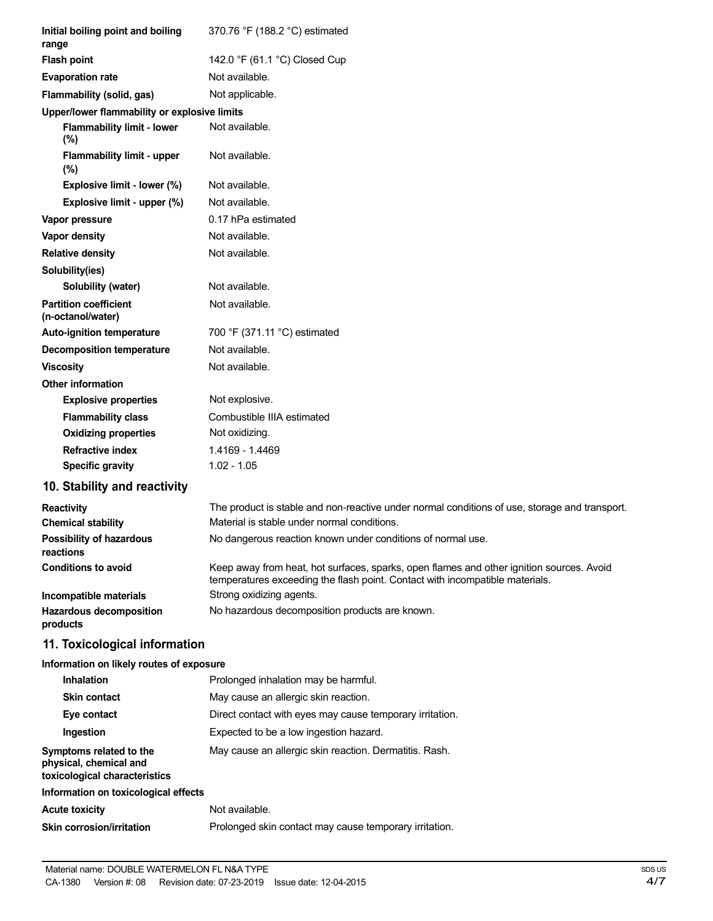| Initial boiling point and boiling<br>range        | 370.76 °F (188.2 °C) estimated |
|---------------------------------------------------|--------------------------------|
| <b>Flash point</b>                                | 142.0 °F (61.1 °C) Closed Cup  |
| <b>Evaporation rate</b>                           | Not available.                 |
| Flammability (solid, gas)                         | Not applicable.                |
| Upper/lower flammability or explosive limits      |                                |
| <b>Flammability limit - lower</b><br>$(\%)$       | Not available.                 |
| Flammability limit - upper<br>(%)                 | Not available.                 |
| Explosive limit - lower (%)                       | Not available.                 |
| Explosive limit - upper (%)                       | Not available.                 |
| Vapor pressure                                    | 0.17 hPa estimated             |
| Vapor density                                     | Not available.                 |
| <b>Relative density</b>                           | Not available.                 |
| Solubility(ies)                                   |                                |
| Solubility (water)                                | Not available.                 |
| <b>Partition coefficient</b><br>(n-octanol/water) | Not available.                 |
| <b>Auto-ignition temperature</b>                  | 700 °F (371.11 °C) estimated   |
| <b>Decomposition temperature</b>                  | Not available.                 |
| <b>Viscosity</b>                                  | Not available.                 |
| Other information                                 |                                |
| <b>Explosive properties</b>                       | Not explosive.                 |
| <b>Flammability class</b>                         | Combustible IIIA estimated     |
| <b>Oxidizing properties</b>                       | Not oxidizing.                 |
| <b>Refractive index</b>                           | 1.4169 - 1.4469                |
| <b>Specific gravity</b>                           | $1.02 - 1.05$                  |
| 10. Stability and reactivity                      |                                |

| <b>Reactivity</b>                            | The product is stable and non-reactive under normal conditions of use, storage and transport.                                                                            |
|----------------------------------------------|--------------------------------------------------------------------------------------------------------------------------------------------------------------------------|
| <b>Chemical stability</b>                    | Material is stable under normal conditions.                                                                                                                              |
| <b>Possibility of hazardous</b><br>reactions | No dangerous reaction known under conditions of normal use.                                                                                                              |
| <b>Conditions to avoid</b>                   | Keep away from heat, hot surfaces, sparks, open flames and other ignition sources. Avoid<br>temperatures exceeding the flash point. Contact with incompatible materials. |
| Incompatible materials                       | Strong oxidizing agents.                                                                                                                                                 |
| Hazardous decomposition<br>products          | No hazardous decomposition products are known.                                                                                                                           |

# **11. Toxicological information**

#### **Information on likely routes of exposure**

| Inhalation                                                                         | Prolonged inhalation may be harmful.                     |
|------------------------------------------------------------------------------------|----------------------------------------------------------|
| <b>Skin contact</b>                                                                | May cause an allergic skin reaction.                     |
| Eye contact                                                                        | Direct contact with eyes may cause temporary irritation. |
| Ingestion                                                                          | Expected to be a low ingestion hazard.                   |
| Symptoms related to the<br>physical, chemical and<br>toxicological characteristics | May cause an allergic skin reaction. Dermatitis. Rash.   |
| Information on toxicological effects                                               |                                                          |
| Acute toxicity                                                                     | Not available.                                           |
| <b>Skin corrosion/irritation</b>                                                   | Prolonged skin contact may cause temporary irritation.   |
|                                                                                    |                                                          |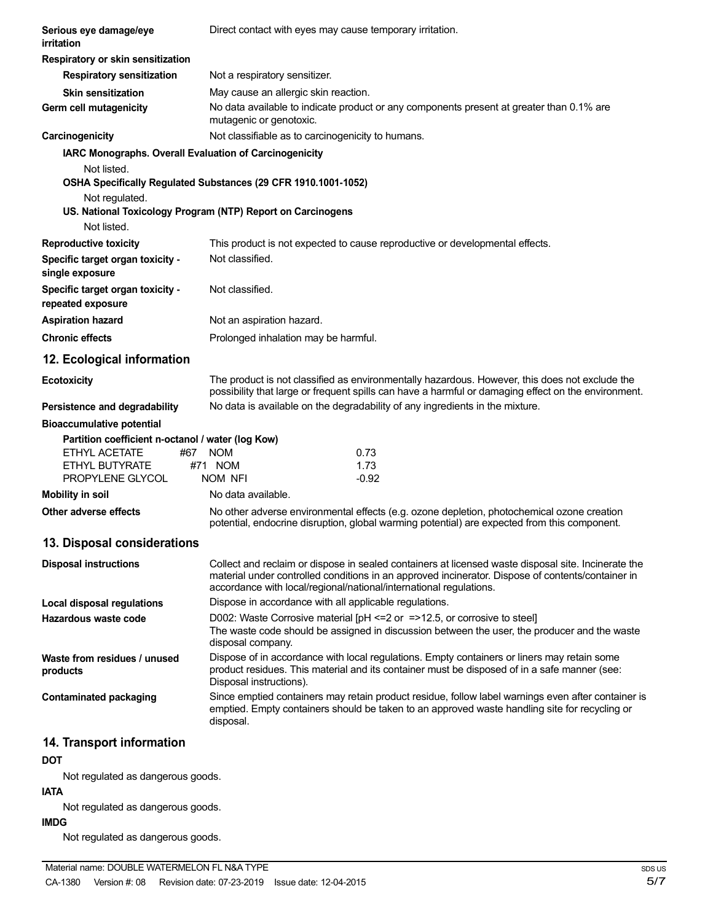| Serious eye damage/eye<br>irritation                   | Direct contact with eyes may cause temporary irritation.                                                                                                                                                                                                                       |
|--------------------------------------------------------|--------------------------------------------------------------------------------------------------------------------------------------------------------------------------------------------------------------------------------------------------------------------------------|
| <b>Respiratory or skin sensitization</b>               |                                                                                                                                                                                                                                                                                |
| <b>Respiratory sensitization</b>                       | Not a respiratory sensitizer.                                                                                                                                                                                                                                                  |
| <b>Skin sensitization</b>                              | May cause an allergic skin reaction.                                                                                                                                                                                                                                           |
| Germ cell mutagenicity                                 | No data available to indicate product or any components present at greater than 0.1% are<br>mutagenic or genotoxic.                                                                                                                                                            |
| Carcinogenicity                                        | Not classifiable as to carcinogenicity to humans.                                                                                                                                                                                                                              |
| IARC Monographs. Overall Evaluation of Carcinogenicity |                                                                                                                                                                                                                                                                                |
| Not listed.                                            |                                                                                                                                                                                                                                                                                |
|                                                        | OSHA Specifically Regulated Substances (29 CFR 1910.1001-1052)                                                                                                                                                                                                                 |
| Not regulated.                                         |                                                                                                                                                                                                                                                                                |
| Not listed.                                            | US. National Toxicology Program (NTP) Report on Carcinogens                                                                                                                                                                                                                    |
| <b>Reproductive toxicity</b>                           | This product is not expected to cause reproductive or developmental effects.                                                                                                                                                                                                   |
| Specific target organ toxicity -                       | Not classified.                                                                                                                                                                                                                                                                |
| single exposure                                        |                                                                                                                                                                                                                                                                                |
| Specific target organ toxicity -<br>repeated exposure  | Not classified.                                                                                                                                                                                                                                                                |
| <b>Aspiration hazard</b>                               | Not an aspiration hazard.                                                                                                                                                                                                                                                      |
| <b>Chronic effects</b>                                 | Prolonged inhalation may be harmful.                                                                                                                                                                                                                                           |
| 12. Ecological information                             |                                                                                                                                                                                                                                                                                |
| <b>Ecotoxicity</b>                                     | The product is not classified as environmentally hazardous. However, this does not exclude the<br>possibility that large or frequent spills can have a harmful or damaging effect on the environment.                                                                          |
| Persistence and degradability                          | No data is available on the degradability of any ingredients in the mixture.                                                                                                                                                                                                   |
| <b>Bioaccumulative potential</b>                       |                                                                                                                                                                                                                                                                                |
| Partition coefficient n-octanol / water (log Kow)      |                                                                                                                                                                                                                                                                                |
| ETHYL ACETATE<br>ETHYL BUTYRATE                        | #67 NOM<br>0.73<br>1.73                                                                                                                                                                                                                                                        |
| PROPYLENE GLYCOL                                       | #71 NOM<br>$-0.92$<br>NOM NFI                                                                                                                                                                                                                                                  |
| <b>Mobility in soil</b>                                | No data available.                                                                                                                                                                                                                                                             |
| Other adverse effects                                  | No other adverse environmental effects (e.g. ozone depletion, photochemical ozone creation<br>potential, endocrine disruption, global warming potential) are expected from this component.                                                                                     |
| 13. Disposal considerations                            |                                                                                                                                                                                                                                                                                |
| <b>Disposal instructions</b>                           | Collect and reclaim or dispose in sealed containers at licensed waste disposal site. Incinerate the<br>material under controlled conditions in an approved incinerator. Dispose of contents/container in<br>accordance with local/regional/national/international regulations. |
| Local disposal regulations                             | Dispose in accordance with all applicable regulations.                                                                                                                                                                                                                         |
| Hazardous waste code                                   | D002: Waste Corrosive material [pH <= 2 or = > 12.5, or corrosive to steel]<br>The waste code should be assigned in discussion between the user, the producer and the waste<br>disposal company.                                                                               |
| Waste from residues / unused<br>products               | Dispose of in accordance with local regulations. Empty containers or liners may retain some<br>product residues. This material and its container must be disposed of in a safe manner (see:<br>Disposal instructions).                                                         |
| <b>Contaminated packaging</b>                          | Since emptied containers may retain product residue, follow label warnings even after container is<br>emptied. Empty containers should be taken to an approved waste handling site for recycling or<br>disposal.                                                               |
| 14. Transport information                              |                                                                                                                                                                                                                                                                                |

# **DOT**

Not regulated as dangerous goods.

#### **IATA**

Not regulated as dangerous goods.

### **IMDG**

Not regulated as dangerous goods.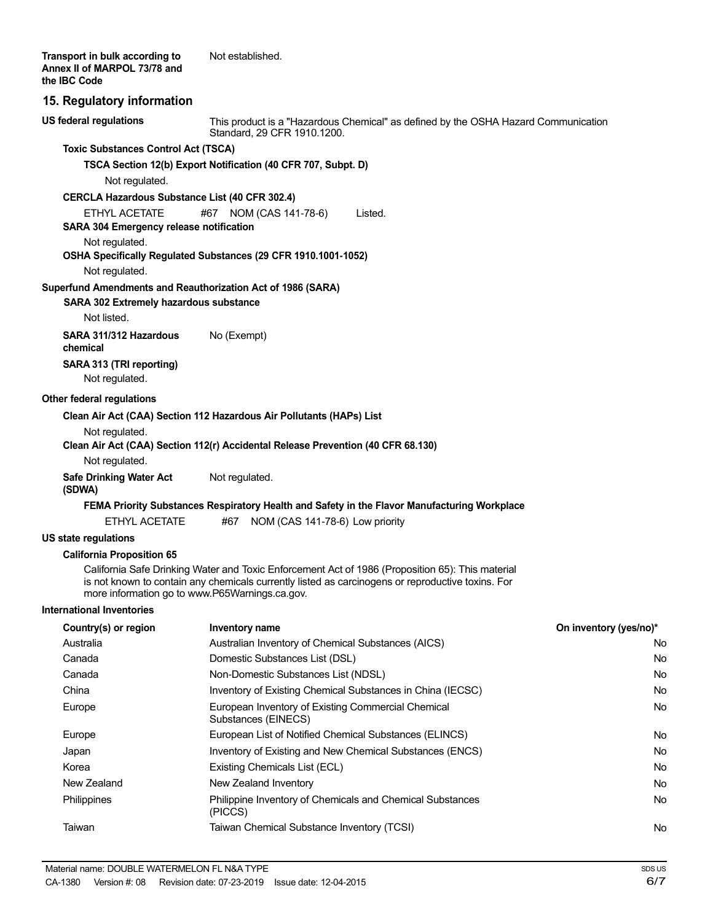#### **15. Regulatory information**

| <b>US federal regulations</b>                               | This product is a "Hazardous Chemical" as defined by the OSHA Hazard Communication<br>Standard, 29 CFR 1910.1200.                                                                                     |                        |
|-------------------------------------------------------------|-------------------------------------------------------------------------------------------------------------------------------------------------------------------------------------------------------|------------------------|
| <b>Toxic Substances Control Act (TSCA)</b>                  |                                                                                                                                                                                                       |                        |
|                                                             | TSCA Section 12(b) Export Notification (40 CFR 707, Subpt. D)                                                                                                                                         |                        |
| Not regulated.                                              |                                                                                                                                                                                                       |                        |
| <b>CERCLA Hazardous Substance List (40 CFR 302.4)</b>       |                                                                                                                                                                                                       |                        |
| ETHYL ACETATE                                               | #67 NOM (CAS 141-78-6)<br>Listed.                                                                                                                                                                     |                        |
| SARA 304 Emergency release notification                     |                                                                                                                                                                                                       |                        |
| Not regulated.                                              |                                                                                                                                                                                                       |                        |
|                                                             | OSHA Specifically Regulated Substances (29 CFR 1910.1001-1052)                                                                                                                                        |                        |
| Not regulated.                                              |                                                                                                                                                                                                       |                        |
| Superfund Amendments and Reauthorization Act of 1986 (SARA) |                                                                                                                                                                                                       |                        |
| SARA 302 Extremely hazardous substance                      |                                                                                                                                                                                                       |                        |
| Not listed.                                                 |                                                                                                                                                                                                       |                        |
| SARA 311/312 Hazardous<br>chemical                          | No (Exempt)                                                                                                                                                                                           |                        |
| SARA 313 (TRI reporting)                                    |                                                                                                                                                                                                       |                        |
| Not regulated.                                              |                                                                                                                                                                                                       |                        |
| Other federal regulations                                   |                                                                                                                                                                                                       |                        |
|                                                             | Clean Air Act (CAA) Section 112 Hazardous Air Pollutants (HAPs) List                                                                                                                                  |                        |
| Not regulated.                                              |                                                                                                                                                                                                       |                        |
|                                                             | Clean Air Act (CAA) Section 112(r) Accidental Release Prevention (40 CFR 68.130)                                                                                                                      |                        |
| Not regulated.                                              |                                                                                                                                                                                                       |                        |
| <b>Safe Drinking Water Act</b><br>(SDWA)                    | Not regulated.                                                                                                                                                                                        |                        |
|                                                             | FEMA Priority Substances Respiratory Health and Safety in the Flavor Manufacturing Workplace                                                                                                          |                        |
| ETHYL ACETATE                                               | #67<br>NOM (CAS 141-78-6) Low priority                                                                                                                                                                |                        |
| US state regulations                                        |                                                                                                                                                                                                       |                        |
| <b>California Proposition 65</b>                            |                                                                                                                                                                                                       |                        |
| more information go to www.P65Warnings.ca.gov.              | California Safe Drinking Water and Toxic Enforcement Act of 1986 (Proposition 65): This material<br>is not known to contain any chemicals currently listed as carcinogens or reproductive toxins. For |                        |
| <b>International Inventories</b>                            |                                                                                                                                                                                                       |                        |
| Country(s) or region                                        | Inventory name                                                                                                                                                                                        | On inventory (yes/no)* |
| Australia                                                   | Australian Inventory of Chemical Substances (AICS)                                                                                                                                                    |                        |
| Canada                                                      | Domestic Substances List (DSL)                                                                                                                                                                        |                        |
| Canada                                                      | Non-Domestic Substances List (NDSL)                                                                                                                                                                   |                        |
| China                                                       | Inventory of Existing Chemical Substances in China (IECSC)                                                                                                                                            |                        |
| Europe                                                      | European Inventory of Existing Commercial Chemical<br>Substances (EINECS)                                                                                                                             |                        |

Korea **Existing Chemicals List (ECL)** New Zealand New Zealand Inventory

(PICCS) Taiwan Taiwan Chemical Substance Inventory (TCSI)

Europe European List of Notified Chemical Substances (ELINCS) Japan Inventory of Existing and New Chemical Substances (ENCS)

Philippines Philippine Inventory of Chemicals and Chemical Substances

No

No No No No No

No No No No No